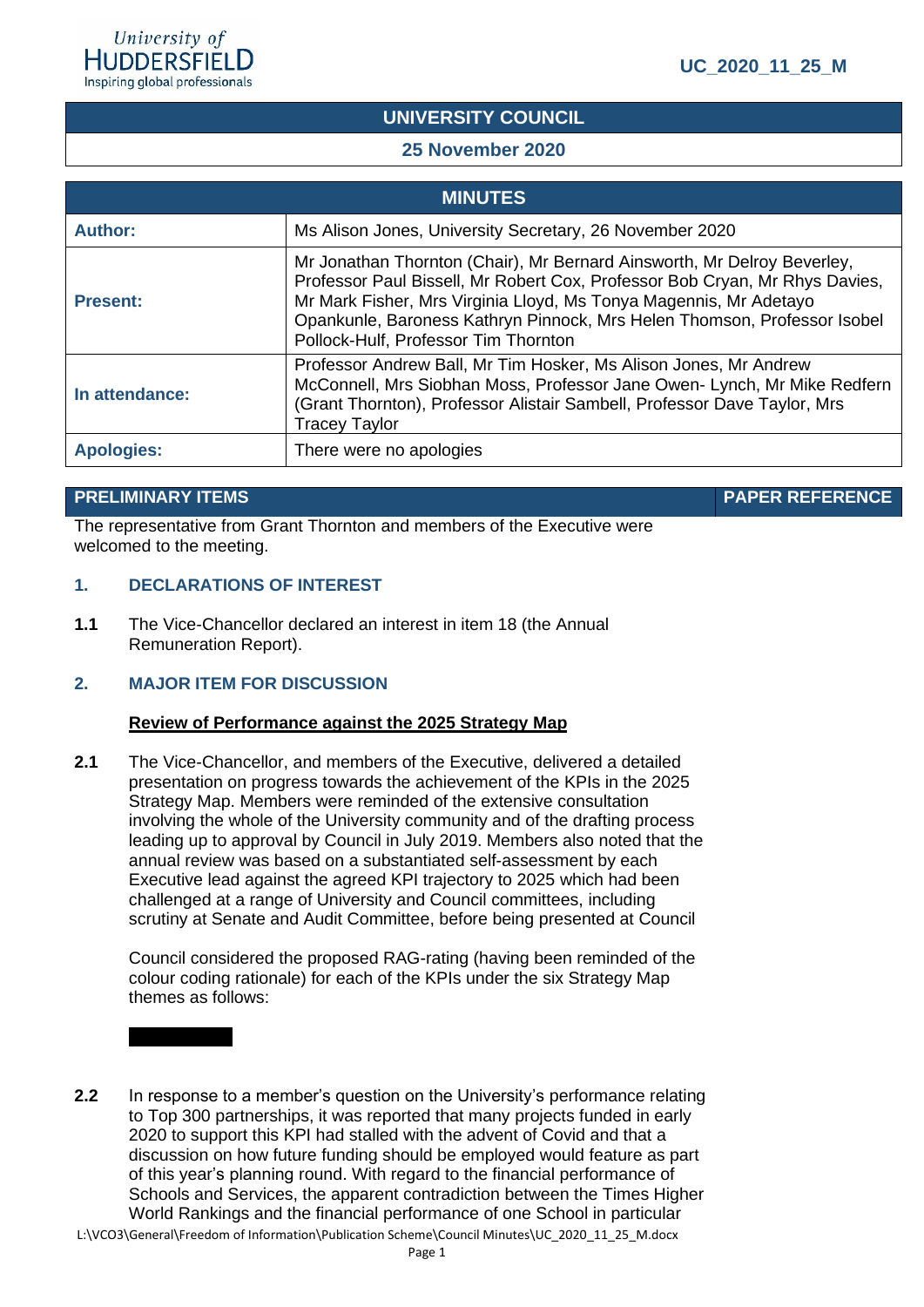# **UNIVERSITY COUNCIL**

## **25 November 2020**

| <b>MINUTES</b>    |                                                                                                                                                                                                                                                                                                                                                 |  |  |  |  |
|-------------------|-------------------------------------------------------------------------------------------------------------------------------------------------------------------------------------------------------------------------------------------------------------------------------------------------------------------------------------------------|--|--|--|--|
| <b>Author:</b>    | Ms Alison Jones, University Secretary, 26 November 2020                                                                                                                                                                                                                                                                                         |  |  |  |  |
| <b>Present:</b>   | Mr Jonathan Thornton (Chair), Mr Bernard Ainsworth, Mr Delroy Beverley,<br>Professor Paul Bissell, Mr Robert Cox, Professor Bob Cryan, Mr Rhys Davies,<br>Mr Mark Fisher, Mrs Virginia Lloyd, Ms Tonya Magennis, Mr Adetayo<br>Opankunle, Baroness Kathryn Pinnock, Mrs Helen Thomson, Professor Isobel<br>Pollock-Hulf, Professor Tim Thornton |  |  |  |  |
| In attendance:    | Professor Andrew Ball, Mr Tim Hosker, Ms Alison Jones, Mr Andrew<br>McConnell, Mrs Siobhan Moss, Professor Jane Owen- Lynch, Mr Mike Redfern<br>(Grant Thornton), Professor Alistair Sambell, Professor Dave Taylor, Mrs<br><b>Tracey Taylor</b>                                                                                                |  |  |  |  |
| <b>Apologies:</b> | There were no apologies                                                                                                                                                                                                                                                                                                                         |  |  |  |  |

#### **PRELIMINARY ITEMS PAPER REFERENCE**

The representative from Grant Thornton and members of the Executive were welcomed to the meeting.

#### **1. DECLARATIONS OF INTEREST**

**1.1** The Vice-Chancellor declared an interest in item 18 (the Annual Remuneration Report).

#### **2. MAJOR ITEM FOR DISCUSSION**

#### **Review of Performance against the 2025 Strategy Map**

**2.1** The Vice-Chancellor, and members of the Executive, delivered a detailed presentation on progress towards the achievement of the KPIs in the 2025 Strategy Map. Members were reminded of the extensive consultation involving the whole of the University community and of the drafting process leading up to approval by Council in July 2019. Members also noted that the annual review was based on a substantiated self-assessment by each Executive lead against the agreed KPI trajectory to 2025 which had been challenged at a range of University and Council committees, including scrutiny at Senate and Audit Committee, before being presented at Council

Council considered the proposed RAG-rating (having been reminded of the colour coding rationale) for each of the KPIs under the six Strategy Map themes as follows:

**2.2** In response to a member's question on the University's performance relating to Top 300 partnerships, it was reported that many projects funded in early 2020 to support this KPI had stalled with the advent of Covid and that a discussion on how future funding should be employed would feature as part of this year's planning round. With regard to the financial performance of Schools and Services, the apparent contradiction between the Times Higher World Rankings and the financial performance of one School in particular

L:\VCO3\General\Freedom of Information\Publication Scheme\Council Minutes\UC\_2020\_11\_25\_M.docx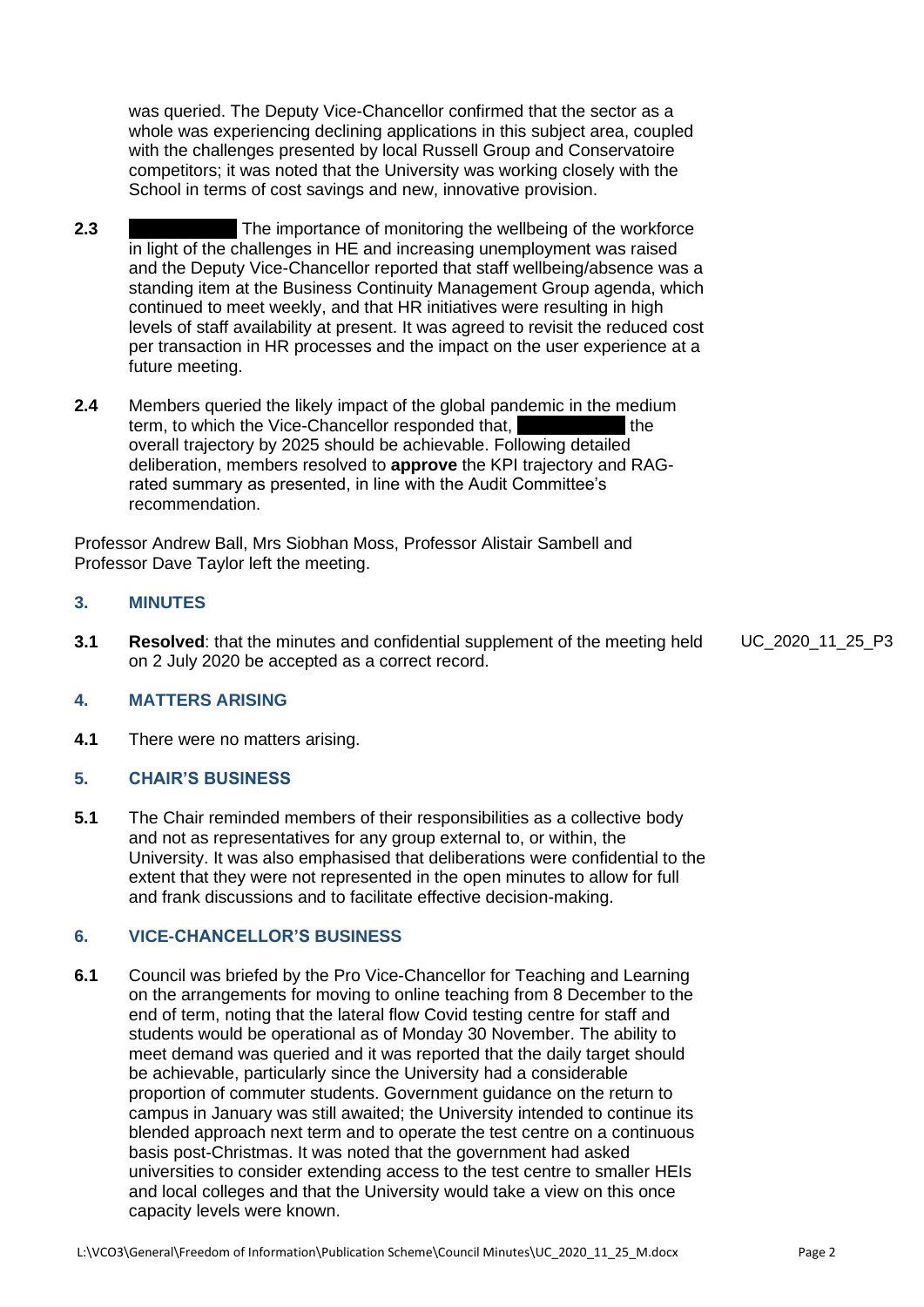was queried. The Deputy Vice-Chancellor confirmed that the sector as a whole was experiencing declining applications in this subject area, coupled with the challenges presented by local Russell Group and Conservatoire competitors; it was noted that the University was working closely with the School in terms of cost savings and new, innovative provision.

- **2.3 EXECUTED** The importance of monitoring the wellbeing of the workforce in light of the challenges in HE and increasing unemployment was raised and the Deputy Vice-Chancellor reported that staff wellbeing/absence was a standing item at the Business Continuity Management Group agenda, which continued to meet weekly, and that HR initiatives were resulting in high levels of staff availability at present. It was agreed to revisit the reduced cost per transaction in HR processes and the impact on the user experience at a future meeting.
- **2.4** Members queried the likely impact of the global pandemic in the medium term, to which the Vice-Chancellor responded that, he can be the overall trajectory by 2025 should be achievable. Following detailed deliberation, members resolved to **approve** the KPI trajectory and RAGrated summary as presented, in line with the Audit Committee's recommendation.

Professor Andrew Ball, Mrs Siobhan Moss, Professor Alistair Sambell and Professor Dave Taylor left the meeting.

#### **3. MINUTES**

**3.1 Resolved**: that the minutes and confidential supplement of the meeting held on 2 July 2020 be accepted as a correct record.

UC\_2020\_11\_25\_P3

#### **4. MATTERS ARISING**

**4.1** There were no matters arising.

#### **5. CHAIR'S BUSINESS**

**5.1** The Chair reminded members of their responsibilities as a collective body and not as representatives for any group external to, or within, the University. It was also emphasised that deliberations were confidential to the extent that they were not represented in the open minutes to allow for full and frank discussions and to facilitate effective decision-making.

#### **6. VICE-CHANCELLOR'S BUSINESS**

**6.1** Council was briefed by the Pro Vice-Chancellor for Teaching and Learning on the arrangements for moving to online teaching from 8 December to the end of term, noting that the lateral flow Covid testing centre for staff and students would be operational as of Monday 30 November. The ability to meet demand was queried and it was reported that the daily target should be achievable, particularly since the University had a considerable proportion of commuter students. Government guidance on the return to campus in January was still awaited; the University intended to continue its blended approach next term and to operate the test centre on a continuous basis post-Christmas. It was noted that the government had asked universities to consider extending access to the test centre to smaller HEIs and local colleges and that the University would take a view on this once capacity levels were known.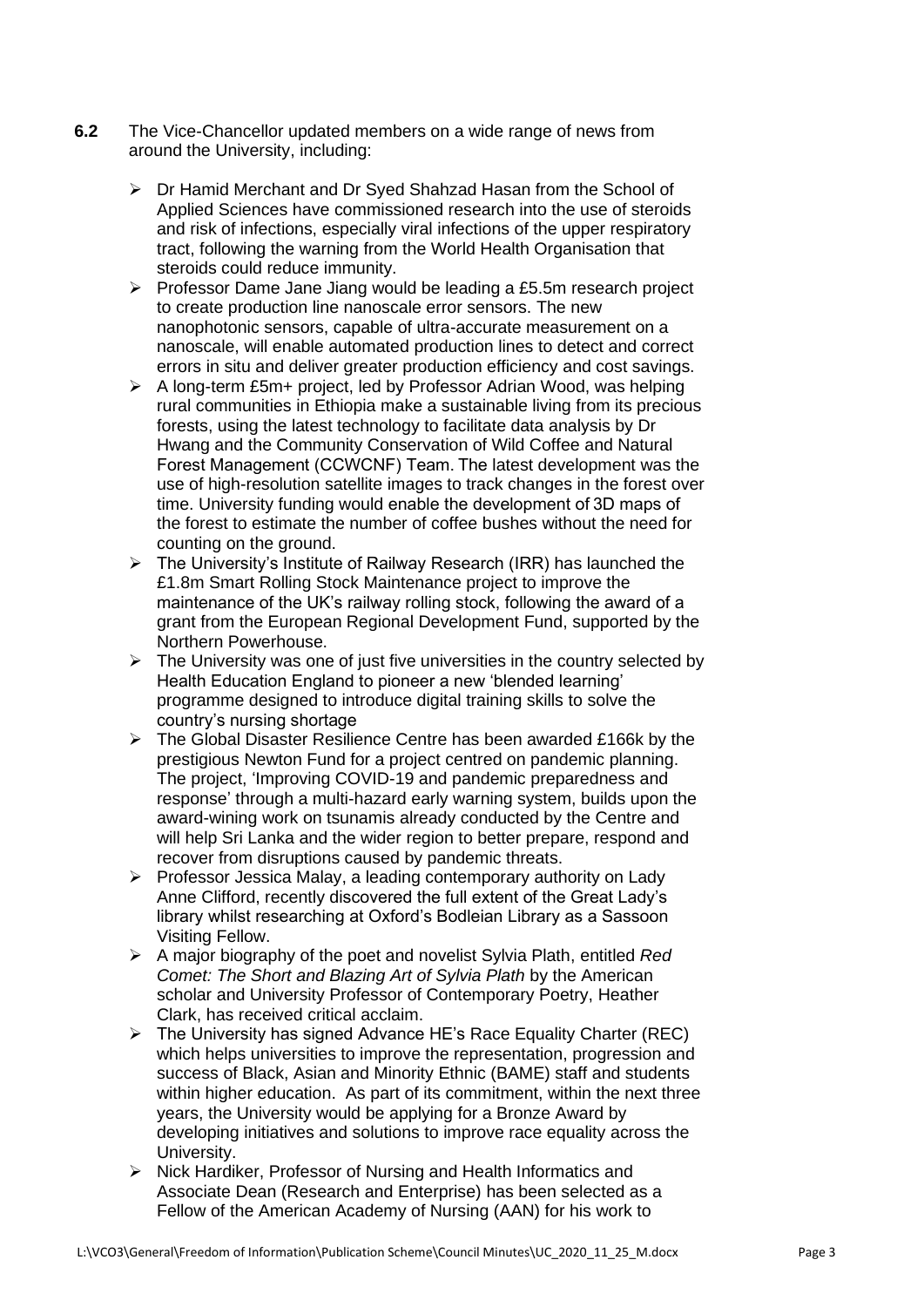- **6.2** The Vice-Chancellor updated members on a wide range of news from around the University, including:
	- ➢ Dr Hamid Merchant and Dr Syed Shahzad Hasan from the School of Applied Sciences have commissioned research into the use of steroids and risk of infections, especially viral infections of the upper respiratory tract, following the warning from the World Health Organisation that steroids could reduce immunity.
	- ➢ Professor Dame Jane Jiang would be leading a £5.5m research project to create production line nanoscale error sensors. The new nanophotonic sensors, capable of ultra-accurate measurement on a nanoscale, will enable automated production lines to detect and correct errors in situ and deliver greater production efficiency and cost savings.
	- ➢ A long-term £5m+ project, led by Professor Adrian Wood, was helping rural communities in Ethiopia make a sustainable living from its precious forests, using the latest technology to facilitate data analysis by Dr Hwang and the Community Conservation of Wild Coffee and Natural Forest Management (CCWCNF) Team. The latest development was the use of high-resolution satellite images to track changes in the forest over time. University funding would enable the development of 3D maps of the forest to estimate the number of coffee bushes without the need for counting on the ground.
	- ➢ The University's Institute of Railway Research (IRR) has launched the £1.8m Smart Rolling Stock Maintenance project to improve the maintenance of the UK's railway rolling stock, following the award of a grant from the European Regional Development Fund, supported by the Northern Powerhouse.
	- $\triangleright$  The University was one of just five universities in the country selected by Health Education England to pioneer a new 'blended learning' programme designed to introduce digital training skills to solve the country's nursing shortage
	- ➢ The Global Disaster Resilience Centre has been awarded £166k by the prestigious Newton Fund for a project centred on pandemic planning. The project, 'Improving COVID-19 and pandemic preparedness and response' through a multi-hazard early warning system, builds upon the award-wining work on tsunamis already conducted by the Centre and will help Sri Lanka and the wider region to better prepare, respond and recover from disruptions caused by pandemic threats.
	- ➢ Professor Jessica Malay, a leading contemporary authority on Lady Anne Clifford, recently discovered the full extent of the Great Lady's library whilst researching at Oxford's Bodleian Library as a Sassoon Visiting Fellow.
	- ➢ A major biography of the poet and novelist Sylvia Plath, entitled *Red Comet: The Short and Blazing Art of Sylvia Plath* by the American scholar and University Professor of Contemporary Poetry, Heather Clark, has received critical acclaim.
	- ➢ The University has signed Advance HE's Race Equality Charter (REC) which helps universities to improve the representation, progression and success of Black, Asian and Minority Ethnic (BAME) staff and students within higher education. As part of its commitment, within the next three years, the University would be applying for a Bronze Award by developing initiatives and solutions to improve race equality across the University.
	- ➢ Nick Hardiker, Professor of Nursing and Health Informatics and Associate Dean (Research and Enterprise) has been selected as a Fellow of the American Academy of Nursing (AAN) for his work to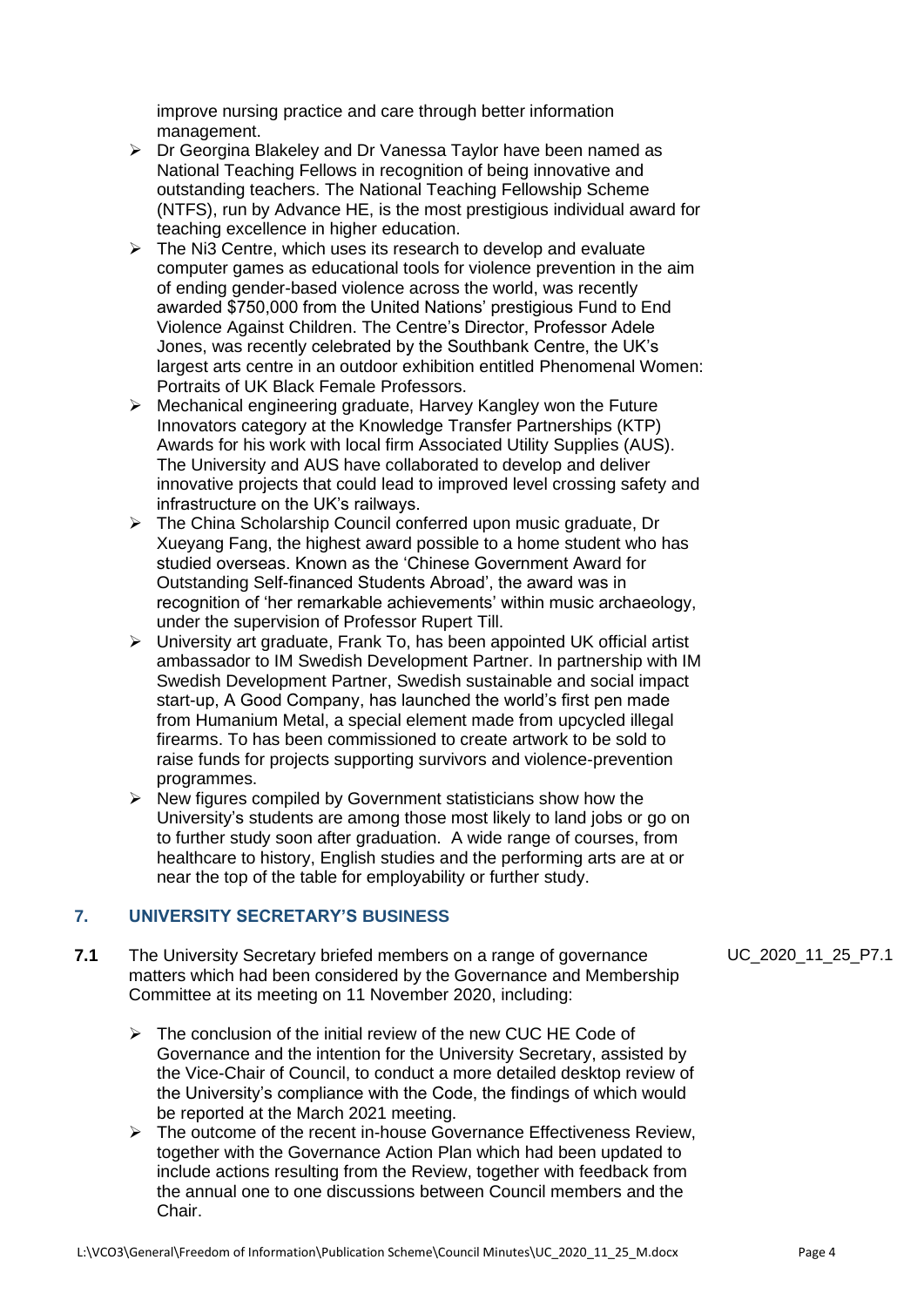improve nursing practice and care through better information management.

- ➢ Dr Georgina Blakeley and Dr Vanessa Taylor have been named as National Teaching Fellows in recognition of being innovative and outstanding teachers. The [National Teaching Fellowship Scheme](https://www.advance-he.ac.uk/awards/teaching-excellence-awards/national-teaching-fellowship)  [\(NTFS\),](https://www.advance-he.ac.uk/awards/teaching-excellence-awards/national-teaching-fellowship) run by Advance HE, is the most prestigious individual award for teaching excellence in higher education.
- $\triangleright$  The Ni3 Centre, which uses its research to develop and evaluate computer games as educational tools for violence prevention in the aim of ending gender-based violence across the world, was recently awarded \$750,000 from the United Nations' prestigious Fund to End Violence Against Children. The Centre's Director, Professor Adele Jones, was recently celebrated by the Southbank Centre, the UK's largest arts centre in an outdoor exhibition entitled Phenomenal Women: Portraits of UK Black Female Professors.
- ➢ Mechanical engineering graduate, Harvey Kangley won the Future Innovators category at the Knowledge Transfer Partnerships (KTP) Awards for his work with local firm Associated Utility Supplies (AUS). The University and AUS have collaborated to develop and deliver innovative projects that could lead to improved level crossing safety and infrastructure on the UK's railways.
- ➢ The China Scholarship Council conferred upon music graduate, Dr Xueyang Fang, the highest award possible to a home student who has studied overseas. Known as the 'Chinese Government Award for Outstanding Self-financed Students Abroad', the award was in recognition of 'her remarkable achievements' within music archaeology, under the supervision of Professor Rupert Till.
- ➢ University art graduate, Frank To, has been appointed UK official artist ambassador to IM Swedish Development Partner. In partnership with IM Swedish Development Partner, Swedish sustainable and social impact start-up, A Good Company, has launched the world's first pen made from Humanium Metal, a special element made from upcycled illegal firearms. To has been commissioned to create artwork to be sold to raise funds for projects supporting survivors and violence-prevention programmes.
- $\triangleright$  New figures compiled by Government statisticians show how the University's students are among those most likely to land jobs or go on to further study soon after graduation. A wide range of courses, from healthcare to history, English studies and the performing arts are at or near the top of the table for employability or further study.

#### **7. UNIVERSITY SECRETARY'S BUSINESS**

- **7.1** The University Secretary briefed members on a range of governance matters which had been considered by the Governance and Membership Committee at its meeting on 11 November 2020, including:
	- ➢ The conclusion of the initial review of the new CUC HE Code of Governance and the intention for the University Secretary, assisted by the Vice-Chair of Council, to conduct a more detailed desktop review of the University's compliance with the Code, the findings of which would be reported at the March 2021 meeting.
	- $\triangleright$  The outcome of the recent in-house Governance Effectiveness Review. together with the Governance Action Plan which had been updated to include actions resulting from the Review, together with feedback from the annual one to one discussions between Council members and the Chair.

UC\_2020\_11\_25\_P7.1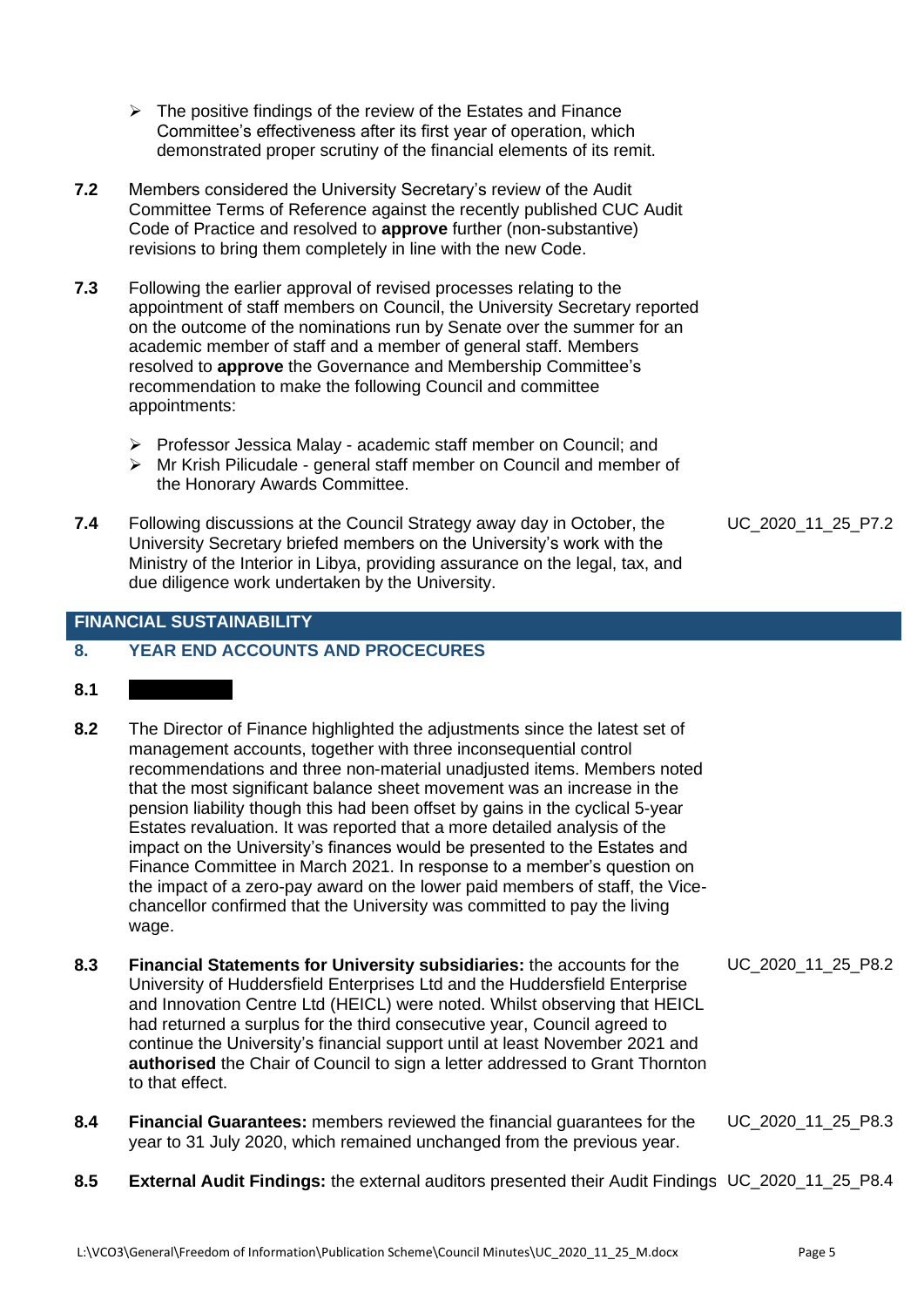- $\triangleright$  The positive findings of the review of the Estates and Finance Committee's effectiveness after its first year of operation, which demonstrated proper scrutiny of the financial elements of its remit.
- **7.2** Members considered the University Secretary's review of the Audit Committee Terms of Reference against the recently published CUC Audit Code of Practice and resolved to **approve** further (non-substantive) revisions to bring them completely in line with the new Code.
- **7.3** Following the earlier approval of revised processes relating to the appointment of staff members on Council, the University Secretary reported on the outcome of the nominations run by Senate over the summer for an academic member of staff and a member of general staff. Members resolved to **approve** the Governance and Membership Committee's recommendation to make the following Council and committee appointments:
	- ➢ Professor Jessica Malay academic staff member on Council; and
	- ➢ Mr Krish Pilicudale general staff member on Council and member of the Honorary Awards Committee.
- **7.4** Following discussions at the Council Strategy away day in October, the University Secretary briefed members on the University's work with the Ministry of the Interior in Libya, providing assurance on the legal, tax, and due diligence work undertaken by the University.

#### **FINANCIAL SUSTAINABILITY**

#### **8. YEAR END ACCOUNTS AND PROCECURES**

- $8.1$
- **8.2** The Director of Finance highlighted the adjustments since the latest set of management accounts, together with three inconsequential control recommendations and three non-material unadjusted items. Members noted that the most significant balance sheet movement was an increase in the pension liability though this had been offset by gains in the cyclical 5-year Estates revaluation. It was reported that a more detailed analysis of the impact on the University's finances would be presented to the Estates and Finance Committee in March 2021. In response to a member's question on the impact of a zero-pay award on the lower paid members of staff, the Vicechancellor confirmed that the University was committed to pay the living wage.
- **8.3 Financial Statements for University subsidiaries:** the accounts for the University of Huddersfield Enterprises Ltd and the Huddersfield Enterprise and Innovation Centre Ltd (HEICL) were noted. Whilst observing that HEICL had returned a surplus for the third consecutive year, Council agreed to continue the University's financial support until at least November 2021 and **authorised** the Chair of Council to sign a letter addressed to Grant Thornton to that effect. UC\_2020\_11\_25\_P8.2
- **8.4 Financial Guarantees:** members reviewed the financial guarantees for the year to 31 July 2020, which remained unchanged from the previous year. UC\_2020\_11\_25\_P8.3
- **8.5 External Audit Findings:** the external auditors presented their Audit Findings UC\_2020\_11\_25\_P8.4

UC\_2020\_11\_25\_P7.2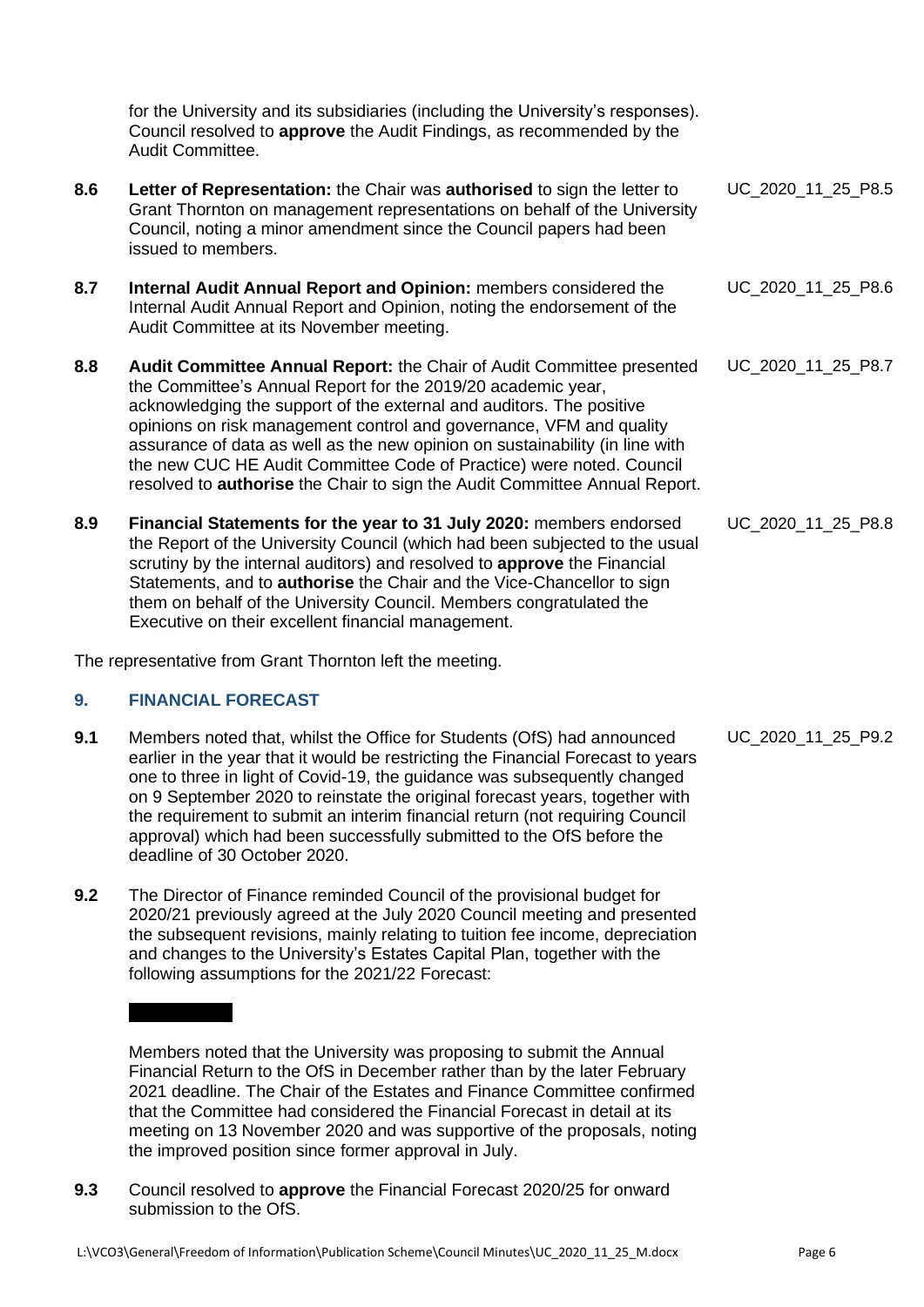for the University and its subsidiaries (including the University's responses). Council resolved to **approve** the Audit Findings, as recommended by the Audit Committee.

- **8.6 Letter of Representation:** the Chair was **authorised** to sign the letter to Grant Thornton on management representations on behalf of the University Council, noting a minor amendment since the Council papers had been issued to members. UC\_2020\_11\_25\_P8.5
- **8.7 Internal Audit Annual Report and Opinion:** members considered the Internal Audit Annual Report and Opinion, noting the endorsement of the Audit Committee at its November meeting.
- **8.8 Audit Committee Annual Report:** the Chair of Audit Committee presented the Committee's Annual Report for the 2019/20 academic year, acknowledging the support of the external and auditors. The positive opinions on risk management control and governance, VFM and quality assurance of data as well as the new opinion on sustainability (in line with the new CUC HE Audit Committee Code of Practice) were noted. Council resolved to **authorise** the Chair to sign the Audit Committee Annual Report. UC\_2020\_11\_25\_P8.7
- **8.9 Financial Statements for the year to 31 July 2020:** members endorsed the Report of the University Council (which had been subjected to the usual scrutiny by the internal auditors) and resolved to **approve** the Financial Statements, and to **authorise** the Chair and the Vice-Chancellor to sign them on behalf of the University Council. Members congratulated the Executive on their excellent financial management. UC\_2020\_11\_25\_P8.8

The representative from Grant Thornton left the meeting.

#### **9. FINANCIAL FORECAST**

- **9.1** Members noted that, whilst the Office for Students (OfS) had announced earlier in the year that it would be restricting the Financial Forecast to years one to three in light of Covid-19, the guidance was subsequently changed on 9 September 2020 to reinstate the original forecast years, together with the requirement to submit an interim financial return (not requiring Council approval) which had been successfully submitted to the OfS before the deadline of 30 October 2020.
- **9.2** The Director of Finance reminded Council of the provisional budget for 2020/21 previously agreed at the July 2020 Council meeting and presented the subsequent revisions, mainly relating to tuition fee income, depreciation and changes to the University's Estates Capital Plan, together with the following assumptions for the 2021/22 Forecast:

Members noted that the University was proposing to submit the Annual Financial Return to the OfS in December rather than by the later February 2021 deadline. The Chair of the Estates and Finance Committee confirmed that the Committee had considered the Financial Forecast in detail at its meeting on 13 November 2020 and was supportive of the proposals, noting the improved position since former approval in July.

**9.3** Council resolved to **approve** the Financial Forecast 2020/25 for onward submission to the OfS.

UC\_2020\_11\_25\_P9.2

UC\_2020\_11\_25\_P8.6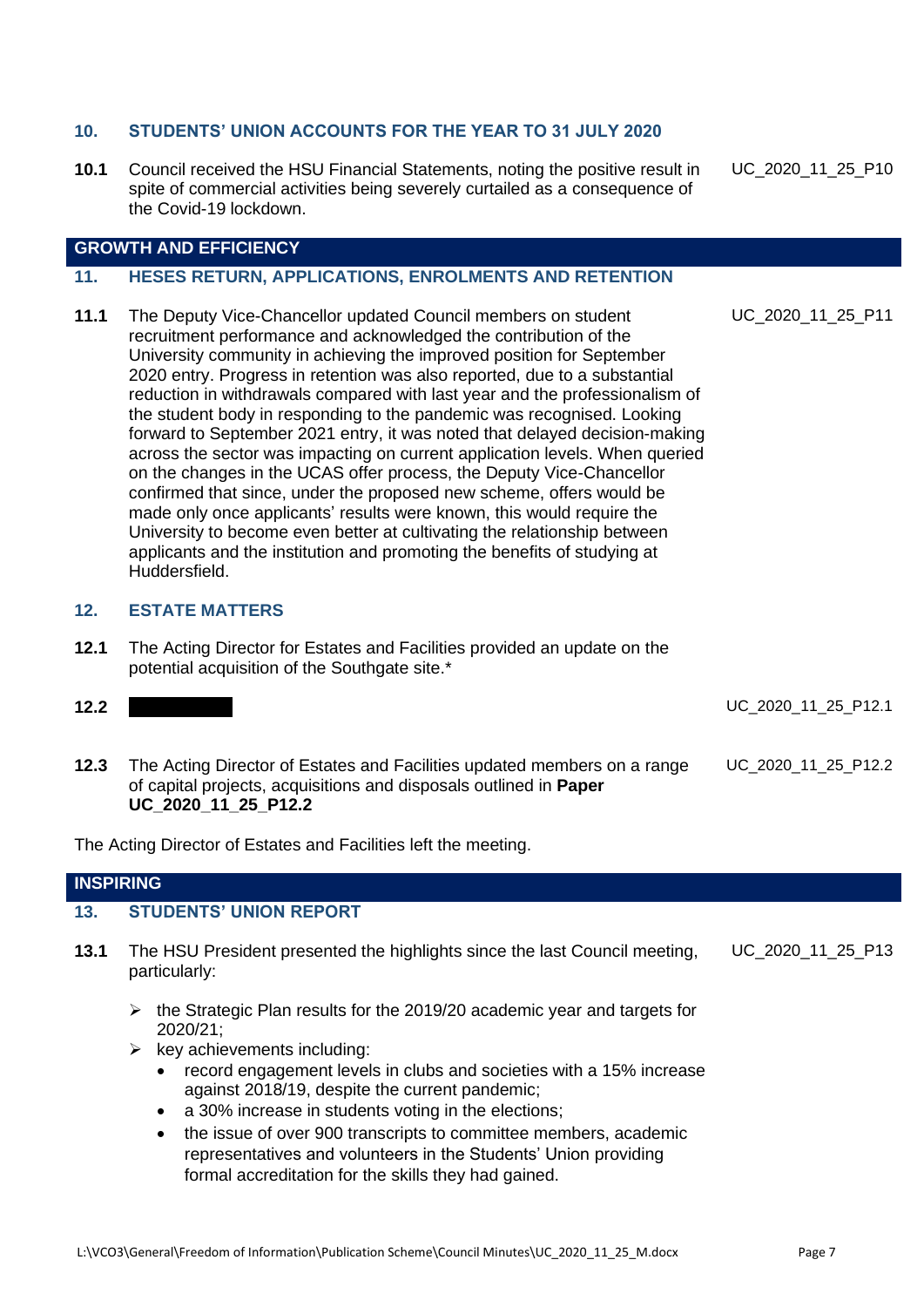#### **10. STUDENTS' UNION ACCOUNTS FOR THE YEAR TO 31 JULY 2020**

**10.1** Council received the HSU Financial Statements, noting the positive result in spite of commercial activities being severely curtailed as a consequence of the Covid-19 lockdown.

**GROWTH AND EFFICIENCY**

#### **11. HESES RETURN, APPLICATIONS, ENROLMENTS AND RETENTION**

**11.1** The Deputy Vice-Chancellor updated Council members on student recruitment performance and acknowledged the contribution of the University community in achieving the improved position for September 2020 entry. Progress in retention was also reported, due to a substantial reduction in withdrawals compared with last year and the professionalism of the student body in responding to the pandemic was recognised. Looking forward to September 2021 entry, it was noted that delayed decision-making across the sector was impacting on current application levels. When queried on the changes in the UCAS offer process, the Deputy Vice-Chancellor confirmed that since, under the proposed new scheme, offers would be made only once applicants' results were known, this would require the University to become even better at cultivating the relationship between applicants and the institution and promoting the benefits of studying at Huddersfield. UC\_2020\_11\_25\_P11

#### **12. ESTATE MATTERS**

**12.1** The Acting Director for Estates and Facilities provided an update on the potential acquisition of the Southgate site.\*

| 12.2 |                                                                                                                                                      |       |  | UC_2020_11_25_P12.1 |
|------|------------------------------------------------------------------------------------------------------------------------------------------------------|-------|--|---------------------|
|      |                                                                                                                                                      |       |  |                     |
|      | the contract of the contract of the contract of the contract of the contract of the contract of the contract of<br>the company's company's company's | _____ |  |                     |

**12.3** The Acting Director of Estates and Facilities updated members on a range of capital projects, acquisitions and disposals outlined in **Paper UC\_2020\_11\_25\_P12.2** UC\_2020\_11\_25\_P12.2

The Acting Director of Estates and Facilities left the meeting.

#### **INSPIRING**

#### **13. STUDENTS' UNION REPORT**

- **13.1** The HSU President presented the highlights since the last Council meeting, particularly: UC\_2020\_11\_25\_P13
	- ➢ the Strategic Plan results for the 2019/20 academic year and targets for 2020/21;
	- $\triangleright$  key achievements including:
		- record engagement levels in clubs and societies with a 15% increase against 2018/19, despite the current pandemic;
		- a 30% increase in students voting in the elections;
		- the issue of over 900 transcripts to committee members, academic representatives and volunteers in the Students' Union providing formal accreditation for the skills they had gained.

UC\_2020\_11\_25\_P10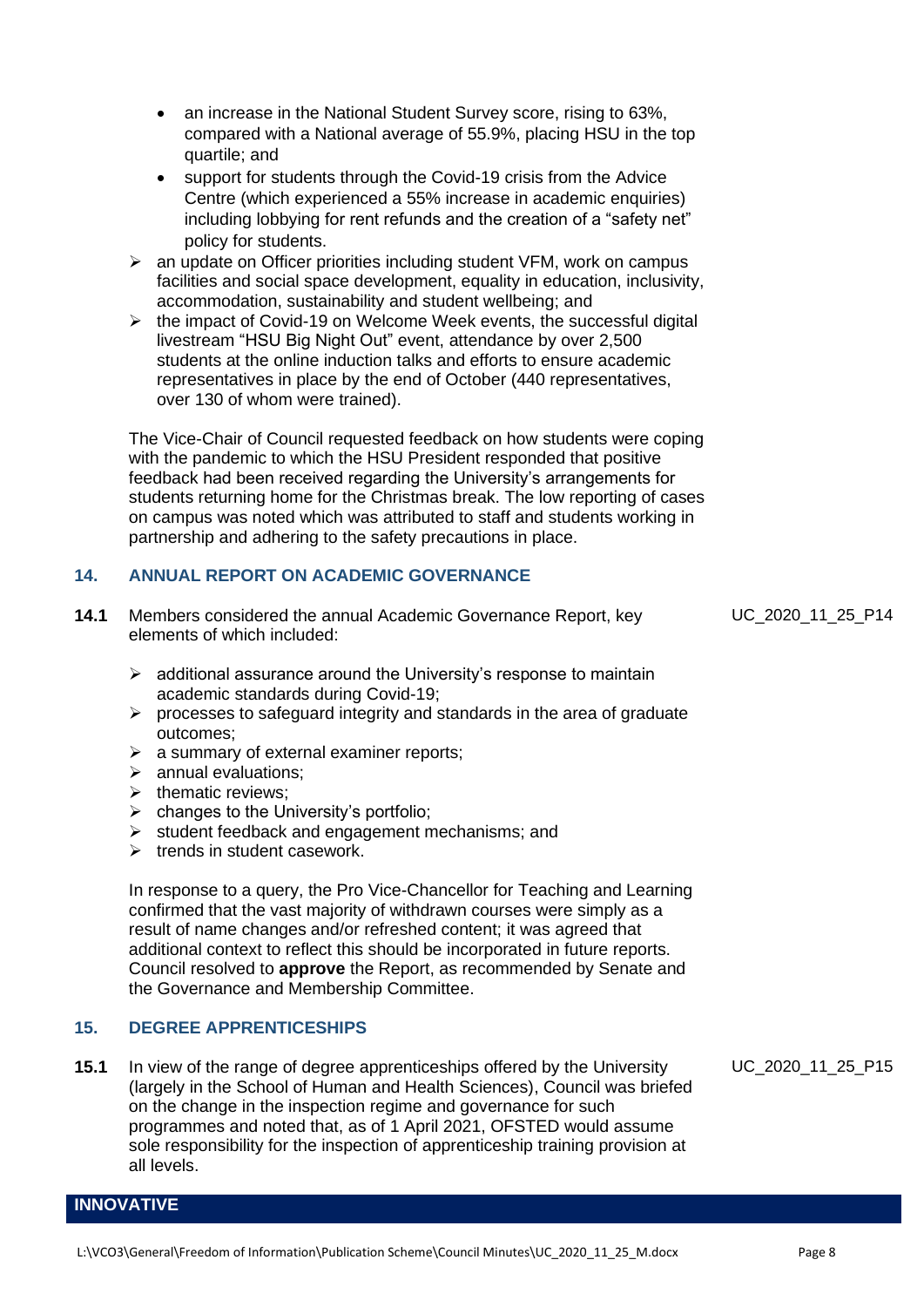- an increase in the National Student Survey score, rising to 63%, compared with a National average of 55.9%, placing HSU in the top quartile; and
- support for students through the Covid-19 crisis from the Advice Centre (which experienced a 55% increase in academic enquiries) including lobbying for rent refunds and the creation of a "safety net" policy for students.
- ➢ an update on Officer priorities including student VFM, work on campus facilities and social space development, equality in education, inclusivity, accommodation, sustainability and student wellbeing; and
- ➢ the impact of Covid-19 on Welcome Week events, the successful digital livestream "HSU Big Night Out" event, attendance by over 2,500 students at the online induction talks and efforts to ensure academic representatives in place by the end of October (440 representatives, over 130 of whom were trained).

The Vice-Chair of Council requested feedback on how students were coping with the pandemic to which the HSU President responded that positive feedback had been received regarding the University's arrangements for students returning home for the Christmas break. The low reporting of cases on campus was noted which was attributed to staff and students working in partnership and adhering to the safety precautions in place.

### **14. ANNUAL REPORT ON ACADEMIC GOVERNANCE**

- **14.1** Members considered the annual Academic Governance Report, key elements of which included:
	- $\triangleright$  additional assurance around the University's response to maintain academic standards during Covid-19;
	- $\triangleright$  processes to safeguard integrity and standards in the area of graduate outcomes;
	- $\triangleright$  a summary of external examiner reports;
	- $\triangleright$  annual evaluations:
	- ➢ thematic reviews;
	- $\triangleright$  changes to the University's portfolio;
	- ➢ student feedback and engagement mechanisms; and
	- $\triangleright$  trends in student casework.

In response to a query, the Pro Vice-Chancellor for Teaching and Learning confirmed that the vast majority of withdrawn courses were simply as a result of name changes and/or refreshed content; it was agreed that additional context to reflect this should be incorporated in future reports. Council resolved to **approve** the Report, as recommended by Senate and the Governance and Membership Committee.

#### **15. DEGREE APPRENTICESHIPS**

**INNOVATIVE**

**15.1** In view of the range of degree apprenticeships offered by the University (largely in the School of Human and Health Sciences), Council was briefed on the change in the inspection regime and governance for such programmes and noted that, as of 1 April 2021, OFSTED would assume sole responsibility for the inspection of apprenticeship training provision at all levels.

UC\_2020\_11\_25\_P15

UC 2020 11 25 P14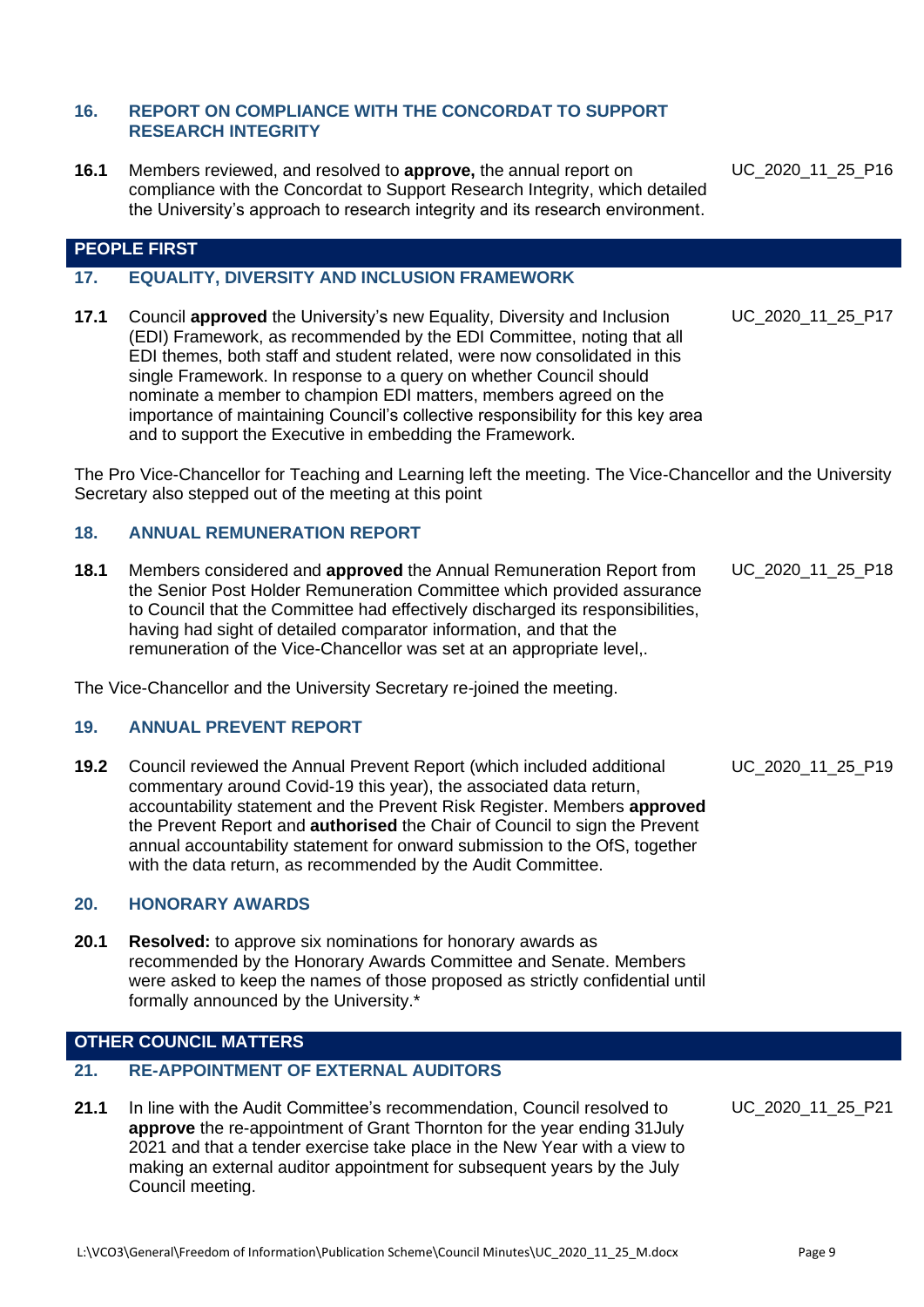#### **16. REPORT ON COMPLIANCE WITH THE CONCORDAT TO SUPPORT RESEARCH INTEGRITY**

**16.1** Members reviewed, and resolved to **approve,** the annual report on compliance with the Concordat to Support Research Integrity, which detailed the University's approach to research integrity and its research environment.

UC 2020 11 25 P16

#### **PEOPLE FIRST**

#### **17. EQUALITY, DIVERSITY AND INCLUSION FRAMEWORK**

**17.1** Council **approved** the University's new Equality, Diversity and Inclusion (EDI) Framework, as recommended by the EDI Committee, noting that all EDI themes, both staff and student related, were now consolidated in this single Framework. In response to a query on whether Council should nominate a member to champion EDI matters, members agreed on the importance of maintaining Council's collective responsibility for this key area and to support the Executive in embedding the Framework.

The Pro Vice-Chancellor for Teaching and Learning left the meeting. The Vice-Chancellor and the University Secretary also stepped out of the meeting at this point

#### **18. ANNUAL REMUNERATION REPORT**

**18.1** Members considered and **approved** the Annual Remuneration Report from the Senior Post Holder Remuneration Committee which provided assurance to Council that the Committee had effectively discharged its responsibilities, having had sight of detailed comparator information, and that the remuneration of the Vice-Chancellor was set at an appropriate level,. UC\_2020\_11\_25\_P18

The Vice-Chancellor and the University Secretary re-joined the meeting.

#### **19. ANNUAL PREVENT REPORT**

**19.2** Council reviewed the Annual Prevent Report (which included additional commentary around Covid-19 this year), the associated data return, accountability statement and the Prevent Risk Register. Members **approved** the Prevent Report and **authorised** the Chair of Council to sign the Prevent annual accountability statement for onward submission to the OfS, together with the data return, as recommended by the Audit Committee.

#### **20. HONORARY AWARDS**

**20.1 Resolved:** to approve six nominations for honorary awards as recommended by the Honorary Awards Committee and Senate. Members were asked to keep the names of those proposed as strictly confidential until formally announced by the University.\*

#### **OTHER COUNCIL MATTERS**

# **21. RE-APPOINTMENT OF EXTERNAL AUDITORS**

**21.1** In line with the Audit Committee's recommendation, Council resolved to **approve** the re-appointment of Grant Thornton for the year ending 31July 2021 and that a tender exercise take place in the New Year with a view to making an external auditor appointment for subsequent years by the July Council meeting.

UC\_2020\_11\_25\_P17

UC 2020 11 25 P19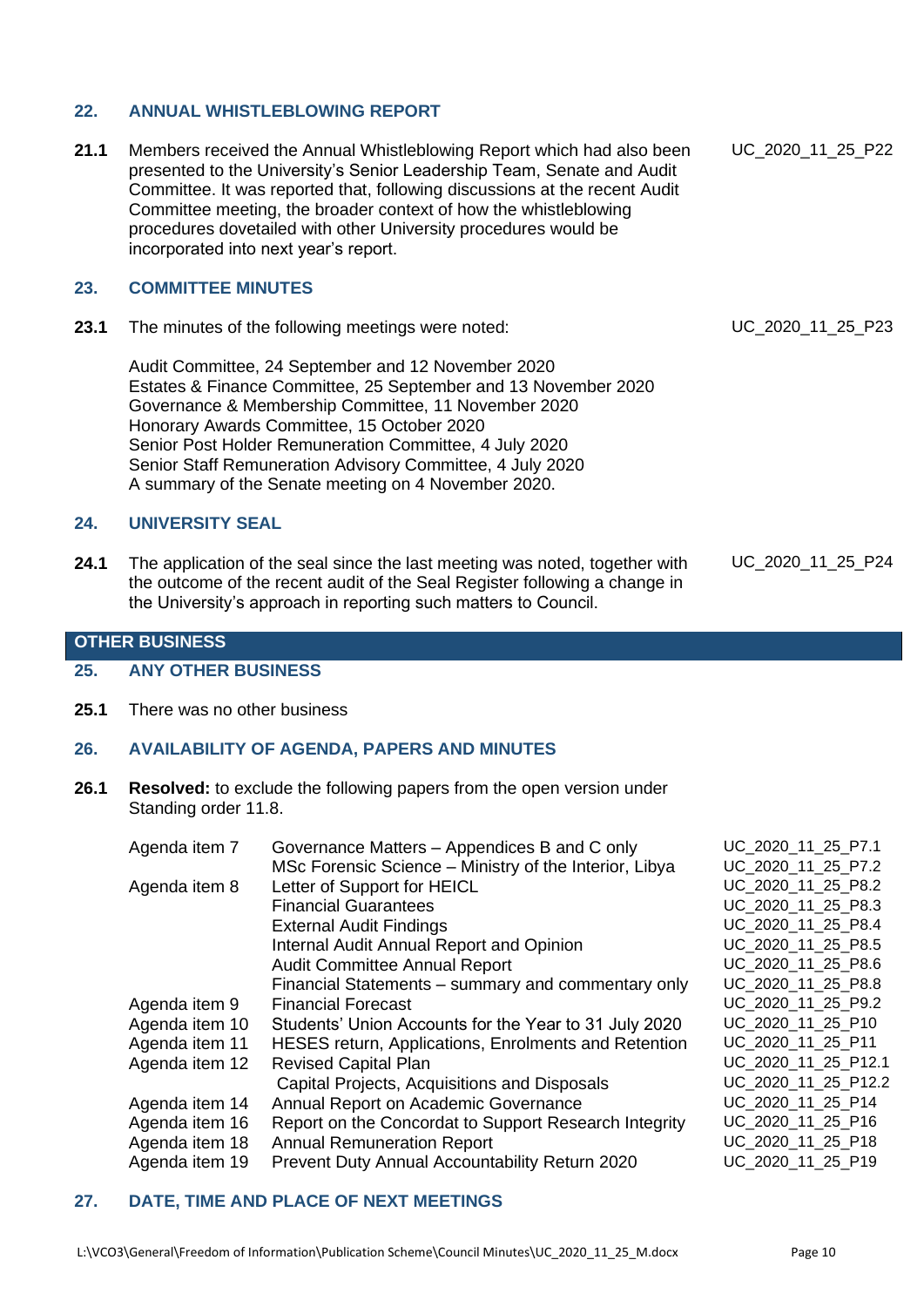# **22. ANNUAL WHISTLEBLOWING REPORT**

**21.1** Members received the Annual Whistleblowing Report which had also been presented to the University's Senior Leadership Team, Senate and Audit Committee. It was reported that, following discussions at the recent Audit Committee meeting, the broader context of how the whistleblowing procedures dovetailed with other University procedures would be incorporated into next year's report. UC\_2020\_11\_25\_P22

# **23. COMMITTEE MINUTES**

**23.1** The minutes of the following meetings were noted:

Audit Committee, 24 September and 12 November 2020 Estates & Finance Committee, 25 September and 13 November 2020 Governance & Membership Committee, 11 November 2020 Honorary Awards Committee, 15 October 2020 Senior Post Holder Remuneration Committee, 4 July 2020 Senior Staff Remuneration Advisory Committee, 4 July 2020 A summary of the Senate meeting on 4 November 2020.

# **24. UNIVERSITY SEAL**

**24.1** The application of the seal since the last meeting was noted, together with the outcome of the recent audit of the Seal Register following a change in the University's approach in reporting such matters to Council.

UC\_2020\_11\_25\_P23

# UC\_2020\_11\_25\_P24

#### **OTHER BUSINESS**

#### **25. ANY OTHER BUSINESS**

**25.1** There was no other business

#### **26. AVAILABILITY OF AGENDA, PAPERS AND MINUTES**

**26.1 Resolved:** to exclude the following papers from the open version under Standing order 11.8.

| Agenda item 7  | Governance Matters - Appendices B and C only           |                     |
|----------------|--------------------------------------------------------|---------------------|
|                | MSc Forensic Science - Ministry of the Interior, Libya | UC 2020 11 25 P7.2  |
| Agenda item 8  | Letter of Support for HEICL                            | UC 2020 11 25 P8.2  |
|                | <b>Financial Guarantees</b>                            | UC 2020 11 25 P8.3  |
|                | <b>External Audit Findings</b>                         | UC 2020 11 25 P8.4  |
|                | Internal Audit Annual Report and Opinion               | UC_2020_11_25_P8.5  |
|                | <b>Audit Committee Annual Report</b>                   | UC 2020 11 25 P8.6  |
|                | Financial Statements – summary and commentary only     | UC 2020 11 25 P8.8  |
| Agenda item 9  | <b>Financial Forecast</b>                              | UC 2020 11 25 P9.2  |
| Agenda item 10 | Students' Union Accounts for the Year to 31 July 2020  | UC_2020_11_25_P10   |
| Agenda item 11 | HESES return, Applications, Enrolments and Retention   | UC_2020_11_25_P11   |
| Agenda item 12 | <b>Revised Capital Plan</b>                            | UC_2020_11_25_P12.1 |
|                | Capital Projects, Acquisitions and Disposals           | UC_2020_11_25_P12.2 |
| Agenda item 14 | Annual Report on Academic Governance                   | UC_2020_11_25_P14   |
| Agenda item 16 | Report on the Concordat to Support Research Integrity  | UC_2020_11_25_P16   |
| Agenda item 18 | <b>Annual Remuneration Report</b>                      | UC_2020_11_25_P18   |
| Agenda item 19 | Prevent Duty Annual Accountability Return 2020         | UC_2020_11_25_P19   |
|                |                                                        |                     |

#### **27. DATE, TIME AND PLACE OF NEXT MEETINGS**